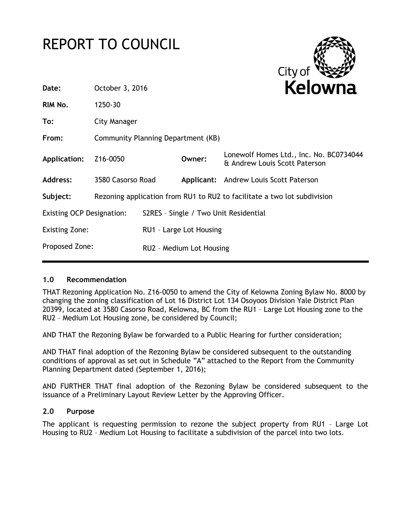# REPORT TO COUNCIL



|                                                                                      |  |                                      | Kelowna                                                                                      |
|--------------------------------------------------------------------------------------|--|--------------------------------------|----------------------------------------------------------------------------------------------|
| 1250-30                                                                              |  |                                      |                                                                                              |
| City Manager                                                                         |  |                                      |                                                                                              |
| Community Planning Department (KB)                                                   |  |                                      |                                                                                              |
| Z <sub>16</sub> -0050                                                                |  | Owner:                               | Lonewolf Homes Ltd., Inc. No. BC0734044<br>& Andrew Louis Scott Paterson                     |
|                                                                                      |  |                                      | Applicant: Andrew Louis Scott Paterson                                                       |
| Subject:<br>Rezoning application from RU1 to RU2 to facilitate a two lot subdivision |  |                                      |                                                                                              |
| <b>Existing OCP Designation:</b>                                                     |  |                                      |                                                                                              |
|                                                                                      |  |                                      |                                                                                              |
| Proposed Zone:                                                                       |  |                                      |                                                                                              |
|                                                                                      |  | October 3, 2016<br>3580 Casorso Road | S2RES - Single / Two Unit Residential<br>RU1 - Large Lot Housing<br>RU2 - Medium Lot Housing |

## **1.0 Recommendation**

THAT Rezoning Application No. Z16-0050 to amend the City of Kelowna Zoning Bylaw No. 8000 by changing the zoning classification of Lot 16 District Lot 134 Osoyoos Division Yale District Plan 20399, located at 3580 Casorso Road, Kelowna, BC from the RU1 – Large Lot Housing zone to the RU2 – Medium Lot Housing zone, be considered by Council;

AND THAT the Rezoning Bylaw be forwarded to a Public Hearing for further consideration;

AND THAT final adoption of the Rezoning Bylaw be considered subsequent to the outstanding conditions of approval as set out in Schedule "A" attached to the Report from the Community Planning Department dated (September 1, 2016);

AND FURTHER THAT final adoption of the Rezoning Bylaw be considered subsequent to the issuance of a Preliminary Layout Review Letter by the Approving Officer.

## **2.0 Purpose**

The applicant is requesting permission to rezone the subject property from RU1 – Large Lot Housing to RU2 – Medium Lot Housing to facilitate a subdivision of the parcel into two lots.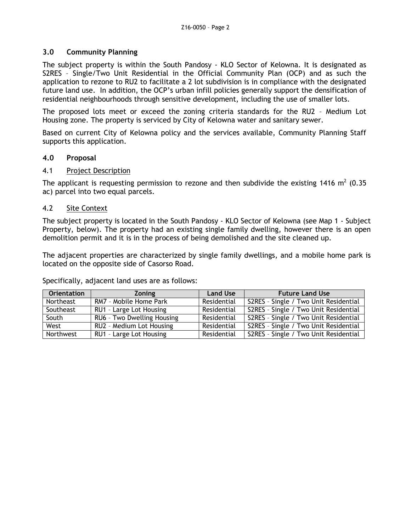## **3.0 Community Planning**

The subject property is within the South Pandosy - KLO Sector of Kelowna. It is designated as S2RES – Single/Two Unit Residential in the Official Community Plan (OCP) and as such the application to rezone to RU2 to facilitate a 2 lot subdivision is in compliance with the designated future land use. In addition, the OCP's urban infill policies generally support the densification of residential neighbourhoods through sensitive development, including the use of smaller lots.

The proposed lots meet or exceed the zoning criteria standards for the RU2 – Medium Lot Housing zone. The property is serviced by City of Kelowna water and sanitary sewer.

Based on current City of Kelowna policy and the services available, Community Planning Staff supports this application.

#### **4.0 Proposal**

#### 4.1 Project Description

The applicant is requesting permission to rezone and then subdivide the existing 1416 m<sup>2</sup> (0.35 ac) parcel into two equal parcels.

## 4.2 Site Context

The subject property is located in the South Pandosy - KLO Sector of Kelowna (see Map 1 - Subject Property, below). The property had an existing single family dwelling, however there is an open demolition permit and it is in the process of being demolished and the site cleaned up.

The adjacent properties are characterized by single family dwellings, and a mobile home park is located on the opposite side of Casorso Road.

Specifically, adjacent land uses are as follows:

| <b>Orientation</b> | <b>Zoning</b>              | <b>Land Use</b> | <b>Future Land Use</b>                |
|--------------------|----------------------------|-----------------|---------------------------------------|
| Northeast          | RM7 - Mobile Home Park     | Residential     | S2RES - Single / Two Unit Residential |
| Southeast          | RU1 - Large Lot Housing    | Residential     | S2RES - Single / Two Unit Residential |
| South              | RU6 - Two Dwelling Housing | Residential     | S2RES - Single / Two Unit Residential |
| West               | RU2 - Medium Lot Housing   | Residential     | S2RES - Single / Two Unit Residential |
| Northwest          | RU1 - Large Lot Housing    | Residential     | S2RES - Single / Two Unit Residential |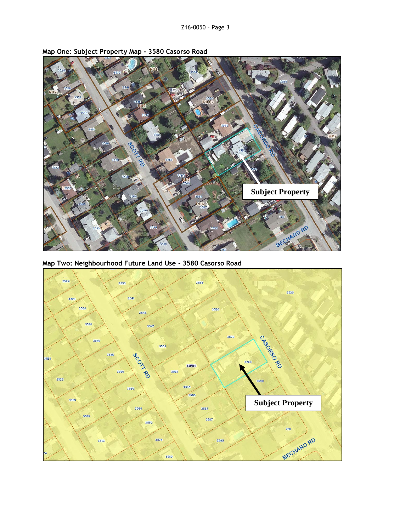

**Map One: Subject Property Map - 3580 Casorso Road**

**Map Two: Neighbourhood Future Land Use - 3580 Casorso Road**

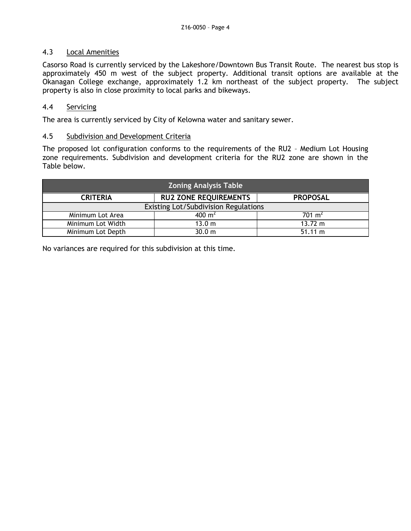## 4.3 Local Amenities

Casorso Road is currently serviced by the Lakeshore/Downtown Bus Transit Route. The nearest bus stop is approximately 450 m west of the subject property. Additional transit options are available at the Okanagan College exchange, approximately 1.2 km northeast of the subject property. The subject property is also in close proximity to local parks and bikeways.

## 4.4 Servicing

The area is currently serviced by City of Kelowna water and sanitary sewer.

#### 4.5 Subdivision and Development Criteria

The proposed lot configuration conforms to the requirements of the RU2 – Medium Lot Housing zone requirements. Subdivision and development criteria for the RU2 zone are shown in the Table below.

| <b>Zoning Analysis Table</b>         |                              |                    |  |  |
|--------------------------------------|------------------------------|--------------------|--|--|
| <b>CRITERIA</b>                      | <b>RU2 ZONE REQUIREMENTS</b> | <b>PROPOSAL</b>    |  |  |
| Existing Lot/Subdivision Regulations |                              |                    |  |  |
| Minimum Lot Area                     | 400 m <sup>2</sup>           | 701 m <sup>2</sup> |  |  |
| Minimum Lot Width                    | 13.0 m                       | $13.72 \; m$       |  |  |
| Minimum Lot Depth                    | 30.0 m                       | $51.11 \text{ m}$  |  |  |

No variances are required for this subdivision at this time.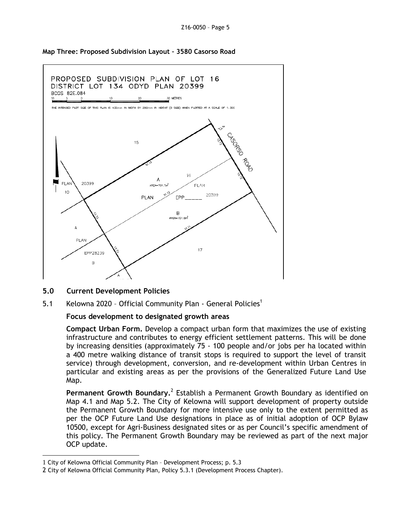



**5.0 Current Development Policies**

1

5.1 Kelowna 2020 - Official Community Plan - General Policies<sup>1</sup>

#### **Focus development to designated growth areas**

**Compact Urban Form.** Develop a compact urban form that maximizes the use of existing infrastructure and contributes to energy efficient settlement patterns. This will be done by increasing densities (approximately 75 - 100 people and/or jobs per ha located within a 400 metre walking distance of transit stops is required to support the level of transit service) through development, conversion, and re-development within Urban Centres in particular and existing areas as per the provisions of the Generalized Future Land Use Map.

Permanent Growth Boundary.<sup>2</sup> Establish a Permanent Growth Boundary as identified on Map 4.1 and Map 5.2. The City of Kelowna will support development of property outside the Permanent Growth Boundary for more intensive use only to the extent permitted as per the OCP Future Land Use designations in place as of initial adoption of OCP Bylaw 10500, except for Agri-Business designated sites or as per Council's specific amendment of this policy. The Permanent Growth Boundary may be reviewed as part of the next major OCP update.

<sup>1</sup> City of Kelowna Official Community Plan – Development Process; p. 5.3

<sup>2</sup> City of Kelowna Official Community Plan, Policy 5.3.1 (Development Process Chapter).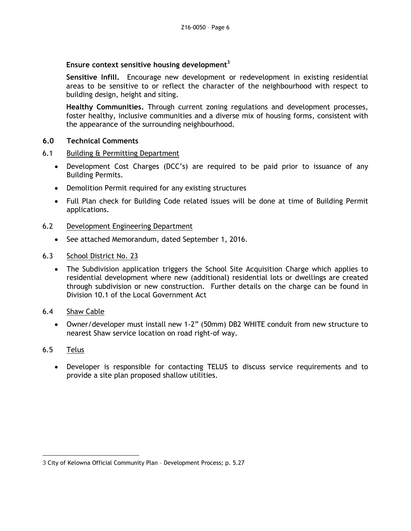# **Ensure context sensitive housing development<sup>3</sup>**

**Sensitive Infill.** Encourage new development or redevelopment in existing residential areas to be sensitive to or reflect the character of the neighbourhood with respect to building design, height and siting.

**Healthy Communities.** Through current zoning regulations and development processes, foster healthy, inclusive communities and a diverse mix of housing forms, consistent with the appearance of the surrounding neighbourhood.

## **6.0 Technical Comments**

#### 6.1 Building & Permitting Department

- Development Cost Charges (DCC's) are required to be paid prior to issuance of any Building Permits.
- Demolition Permit required for any existing structures
- Full Plan check for Building Code related issues will be done at time of Building Permit applications.

#### 6.2 Development Engineering Department

- See attached Memorandum, dated September 1, 2016.
- 6.3 School District No. 23
	- The Subdivision application triggers the School Site Acquisition Charge which applies to residential development where new (additional) residential lots or dwellings are created through subdivision or new construction. Further details on the charge can be found in Division 10.1 of the Local Government Act
- 6.4 Shaw Cable
	- Owner/developer must install new 1-2" (50mm) DB2 WHITE conduit from new structure to nearest Shaw service location on road right-of way.

## 6.5 Telus

-

 Developer is responsible for contacting TELUS to discuss service requirements and to provide a site plan proposed shallow utilities.

<sup>3</sup> City of Kelowna Official Community Plan – Development Process; p. 5.27